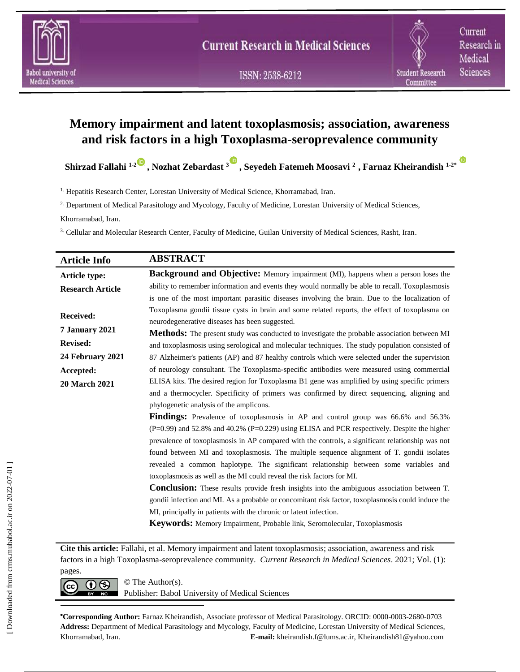

Current Research in Medical Sciences

# **Memory impairment and latent toxoplasmosis; association, awareness and risk factors in a high Toxoplasma-seroprevalence community**

**Shirzad Fallahi 1-2 , Nozhat Zebardast 3 , Seyedeh Fatemeh Moosavi <sup>2</sup> , Farnaz Kheirandish 1-2\***

<sup>1.</sup> Hepatitis Research Center, Lorestan University of Medical Science, Khorramabad, Iran.

2. Department of Medical Parasitology and Mycology, Faculty of Medicine, Lorestan University of Medical Sciences,

Khorramabad, Iran.

3. Cellular and Molecular Research Center, Faculty of Medicine, Guilan University of Medical Sciences, Rasht, Iran.

| <b>Article Info</b>     | <b>ABSTRACT</b>                                                                                                                                 |  |  |  |
|-------------------------|-------------------------------------------------------------------------------------------------------------------------------------------------|--|--|--|
| Article type:           | <b>Background and Objective:</b> Memory impairment (MI), happens when a person loses the                                                        |  |  |  |
| <b>Research Article</b> | ability to remember information and events they would normally be able to recall. Toxoplasmosis                                                 |  |  |  |
|                         | is one of the most important parasitic diseases involving the brain. Due to the localization of                                                 |  |  |  |
| Received:               | Toxoplasma gondii tissue cysts in brain and some related reports, the effect of toxoplasma on<br>neurodegenerative diseases has been suggested. |  |  |  |
| 7 January 2021          | <b>Methods:</b> The present study was conducted to investigate the probable association between MI                                              |  |  |  |
| <b>Revised:</b>         | and toxoplasmosis using serological and molecular techniques. The study population consisted of                                                 |  |  |  |
| 24 February 2021        | 87 Alzheimer's patients (AP) and 87 healthy controls which were selected under the supervision                                                  |  |  |  |
| Accepted:               | of neurology consultant. The Toxoplasma-specific antibodies were measured using commercial                                                      |  |  |  |
| <b>20 March 2021</b>    | ELISA kits. The desired region for Toxoplasma B1 gene was amplified by using specific primers                                                   |  |  |  |
|                         | and a thermocycler. Specificity of primers was confirmed by direct sequencing, aligning and                                                     |  |  |  |
|                         | phylogenetic analysis of the amplicons.                                                                                                         |  |  |  |
|                         | <b>Findings:</b> Prevalence of toxoplasmosis in AP and control group was 66.6% and 56.3%                                                        |  |  |  |
|                         | $(P=0.99)$ and 52.8% and 40.2% $(P=0.229)$ using ELISA and PCR respectively. Despite the higher                                                 |  |  |  |
|                         | prevalence of toxoplasmosis in AP compared with the controls, a significant relationship was not                                                |  |  |  |
|                         | found between MI and toxoplasmosis. The multiple sequence alignment of T. gondii isolates                                                       |  |  |  |
|                         | revealed a common haplotype. The significant relationship between some variables and                                                            |  |  |  |
|                         | toxoplasmosis as well as the MI could reveal the risk factors for MI.                                                                           |  |  |  |
|                         | <b>Conclusion:</b> These results provide fresh insights into the ambiguous association between T.                                               |  |  |  |
|                         | gondii infection and MI. As a probable or concomitant risk factor, toxoplasmosis could induce the                                               |  |  |  |
|                         | MI, principally in patients with the chronic or latent infection.                                                                               |  |  |  |
|                         | Keywords: Memory Impairment, Probable link, Seromolecular, Toxoplasmosis                                                                        |  |  |  |

**Cite this article:** Fallahi, et al. Memory impairment and latent toxoplasmosis; association, awareness and risk factors in a high Toxoplasma-seroprevalence community. *Current Research in Medical Sciences*. 2021; Vol. (1): pages.

 $\overline{\text{cc}}$   $\overline{\text{O}}$   $\overline{\text{O}}$   $\overline{\text{O}}$  The Author(s). Publisher: Babol University of Medical Sciences

**Corresponding Author:** Farnaz Kheirandish, Associate professor of Medical Parasitology. ORCID: 0000-0003-2680-0703 **Address:** Department of Medical Parasitology and Mycology, Faculty of Medicine, Lorestan University of Medical Sciences, Khorramabad, Iran. **E-mail:** kheirandish.f@lums.ac.ir, Kheirandish81@yahoo.com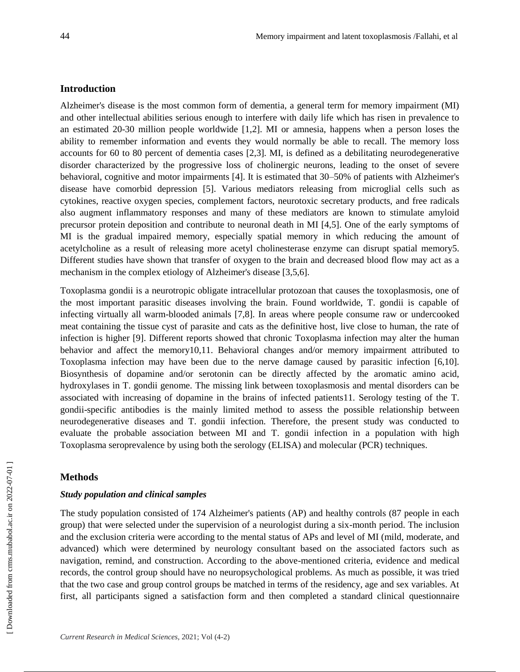# **Introduction**

Alzheimer's disease is the most common form of dementia, a general term for memory impairment (MI) and other intellectual abilities serious enough to interfere with daily life which has risen in prevalence to an estimated 20-30 million people worldwide [1,2]. MI or amnesia, happens when a person loses the ability to remember information and events they would normally be able to recall. The memory loss accounts for 60 to 80 percent of dementia cases [2,3]. MI, is defined as a debilitating neurodegenerative disorder characterized by the progressive loss of cholinergic neurons, leading to the onset of severe behavioral, cognitive and motor impairments [4]. It is estimated that 30–50% of patients with Alzheimer's disease have comorbid depression [5]. Various mediators releasing from microglial cells such as cytokines, reactive oxygen species, complement factors, neurotoxic secretary products, and free radicals also augment inflammatory responses and many of these mediators are known to stimulate amyloid precursor protein deposition and contribute to neuronal death in MI [4,5]. One of the early symptoms of MI is the gradual impaired memory, especially spatial memory in which reducing the amount of acetylcholine as a result of releasing more acetyl cholinesterase enzyme can disrupt spatial memory5. Different studies have shown that transfer of oxygen to the brain and decreased blood flow may act as a mechanism in the complex etiology of Alzheimer's disease [3,5,6].

Toxoplasma gondii is a neurotropic obligate intracellular protozoan that causes the toxoplasmosis, one of the most important parasitic diseases involving the brain. Found worldwide, T. gondii is capable of infecting virtually all warm-blooded animals [7,8]. In areas where people consume raw or undercooked meat containing the tissue cyst of parasite and cats as the definitive host, live close to human, the rate of infection is higher [9]. Different reports showed that chronic Toxoplasma infection may alter the human behavior and affect the memory10,11. Behavioral changes and/or memory impairment attributed to Toxoplasma infection may have been due to the nerve damage caused by parasitic infection [6,10]. Biosynthesis of dopamine and/or serotonin can be directly affected by the aromatic amino acid, hydroxylases in T. gondii genome. The missing link between toxoplasmosis and mental disorders can be associated with increasing of dopamine in the brains of infected patients11. Serology testing of the T. gondii-specific antibodies is the mainly limited method to assess the possible relationship between neurodegenerative diseases and T. gondii infection. Therefore, the present study was conducted to evaluate the probable association between MI and T. gondii infection in a population with high Toxoplasma seroprevalence by using both the serology (ELISA) and molecular (PCR) techniques.

### **Methods**

## *Study population and clinical samples*

The study population consisted of 174 Alzheimer's patients (AP) and healthy controls (87 people in each group) that were selected under the supervision of a neurologist during a six-month period. The inclusion and the exclusion criteria were according to the mental status of APs and level of MI (mild, moderate, and advanced) which were determined by neurology consultant based on the associated factors such as navigation, remind, and construction. According to the above-mentioned criteria, evidence and medical records, the control group should have no neuropsychological problems. As much as possible, it was tried that the two case and group control groups be matched in terms of the residency, age and sex variables. At first, all participants signed a satisfaction form and then completed a standard clinical questionnaire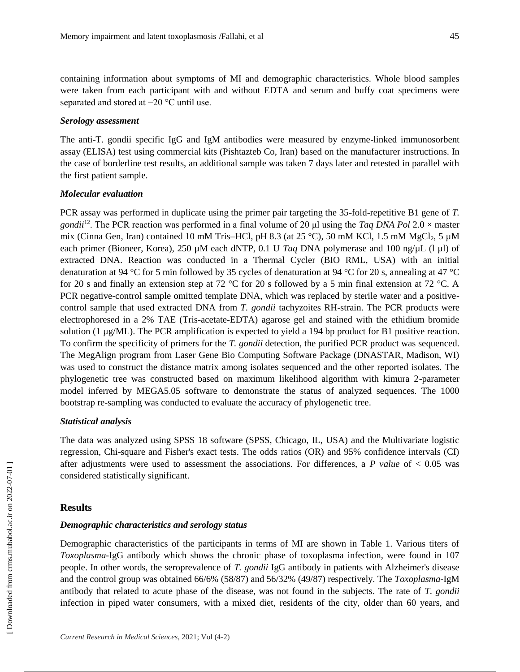containing information about symptoms of MI and demographic characteristics. Whole blood samples were taken from each participant with and without EDTA and serum and buffy coat specimens were separated and stored at −20 °C until use.

### *Serology assessment*

The anti-T. gondii specific IgG and IgM antibodies were measured by enzyme-linked immunosorbent assay (ELISA) test using commercial kits (Pishtazteb Co, Iran) based on the manufacturer instructions. In the case of borderline test results, an additional sample was taken 7 days later and retested in parallel with the first patient sample.

### *Molecular evaluation*

PCR assay was performed in duplicate using the primer pair targeting the 35-fold-repetitive B1 gene of *T. gondii*<sup>12</sup>. The PCR reaction was performed in a final volume of 20 μl using the *Taq DNA Pol* 2.0 × master mix (Cinna Gen, Iran) contained 10 mM Tris–HCl, pH 8.3 (at 25 °C), 50 mM KCl, 1.5 mM MgCl<sub>2</sub>, 5  $\mu$ M each primer (Bioneer, Korea), 250 µM each dNTP, 0.1 U *Taq* DNA polymerase and 100 ng/µL (l µl) of extracted DNA. Reaction was conducted in a Thermal Cycler (BIO RML, USA) with an initial denaturation at 94 °C for 5 min followed by 35 cycles of denaturation at 94 °C for 20 s, annealing at 47 °C for 20 s and finally an extension step at 72 °C for 20 s followed by a 5 min final extension at 72 °C. A PCR negative-control sample omitted template DNA, which was replaced by sterile water and a positivecontrol sample that used extracted DNA from *T. gondii* tachyzoites RH-strain. The PCR products were electrophoresed in a 2% TAE (Tris-acetate-EDTA) agarose gel and stained with the ethidium bromide solution (1  $\mu$ g/ML). The PCR amplification is expected to yield a 194 bp product for B1 positive reaction. To confirm the specificity of primers for the *T. gondii* detection, the purified PCR product was sequenced. The MegAlign program from Laser Gene Bio Computing Software Package (DNASTAR, Madison, WI) was used to construct the distance matrix among isolates sequenced and the other reported isolates. The phylogenetic tree was constructed based on maximum likelihood algorithm with kimura 2-parameter model inferred by MEGA5.05 software to demonstrate the status of analyzed sequences. The 1000 bootstrap re-sampling was conducted to evaluate the accuracy of phylogenetic tree.

# *Statistical analysis*

The data was analyzed using SPSS 18 software (SPSS, Chicago, IL, USA) and the Multivariate logistic regression, Chi-square and Fisher's exact tests. The odds ratios (OR) and 95% confidence intervals (CI) after adjustments were used to assessment the associations. For differences, a *P value* of < 0.05 was considered statistically significant.

# **Results**

# *Demographic characteristics and serology status*

Demographic characteristics of the participants in terms of MI are shown in Table 1. Various titers of *Toxoplasma*-IgG antibody which shows the chronic phase of toxoplasma infection, were found in 107 people. In other words, the seroprevalence of *T. gondii* IgG antibody in patients with Alzheimer's disease and the control group was obtained 66/6% (58/87) and 56/32% (49/87) respectively. The *Toxoplasma*-IgM antibody that related to acute phase of the disease, was not found in the subjects. The rate of *T. gondii* infection in piped water consumers, with a mixed diet, residents of the city, older than 60 years, and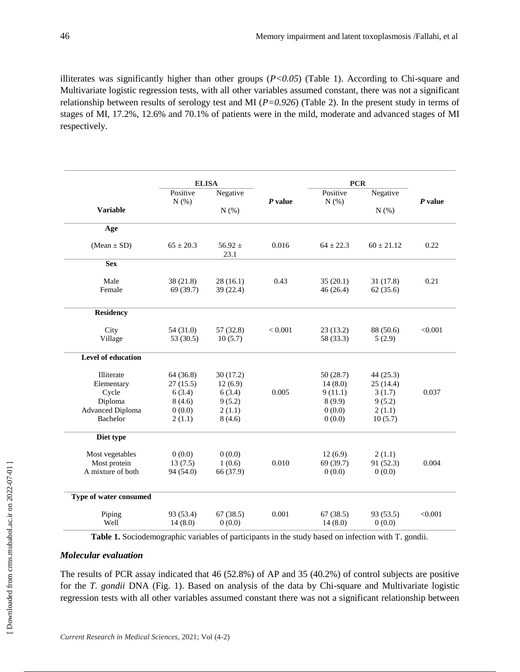illiterates was significantly higher than other groups  $(P<0.05)$  (Table 1). According to Chi-square and Multivariate logistic regression tests, with all other variables assumed constant, there was not a significant relationship between results of serology test and MI (*P=0.926*) (Table 2). In the present study in terms of stages of MI, 17.2%, 12.6% and 70.1% of patients were in the mild, moderate and advanced stages of MI respectively.

|                                     | <b>ELISA</b>          |                       |           | <b>PCR</b>            |                      |           |
|-------------------------------------|-----------------------|-----------------------|-----------|-----------------------|----------------------|-----------|
|                                     | Positive<br>$N(\%)$   | Negative<br>$N(\%)$   | $P$ value | Positive<br>N(%)      | Negative<br>$N(\%)$  | $P$ value |
| <b>Variable</b>                     |                       |                       |           |                       |                      |           |
| Age                                 |                       |                       |           |                       |                      |           |
| $(Mean \pm SD)$                     | $65 \pm 20.3$         | 56.92 $\pm$<br>23.1   | 0.016     | $64 \pm 22.3$         | $60 \pm 21.12$       | 0.22      |
| <b>Sex</b>                          |                       |                       |           |                       |                      |           |
| Male<br>Female                      | 38(21.8)<br>69 (39.7) | 28(16.1)<br>39 (22.4) | 0.43      | 35(20.1)<br>46 (26.4) | 31(17.8)<br>62(35.6) | 0.21      |
| <b>Residency</b>                    |                       |                       |           |                       |                      |           |
| City                                | 54 (31.0)             | 57 (32.8)             | < 0.001   | 23(13.2)              | 88 (50.6)            | < 0.001   |
| Village                             | 53 (30.5)             | 10(5.7)               |           | 58 (33.3)             | 5(2.9)               |           |
| <b>Level of education</b>           |                       |                       |           |                       |                      |           |
| Illiterate                          | 64 (36.8)             | 30(17.2)              |           | 50 (28.7)             | 44 (25.3)            |           |
| Elementary                          | 27(15.5)              | 12(6.9)               |           | 14(8.0)               | 25(14.4)             |           |
| Cycle                               | 6(3.4)                | 6(3.4)                | 0.005     | 9(11.1)               | 3(1.7)               | 0.037     |
| Diploma                             | 8(4.6)                | 9(5.2)                |           | 8(9.9)                | 9(5.2)               |           |
| <b>Advanced Diploma</b><br>Bachelor | 0(0.0)<br>2(1.1)      | 2(1.1)<br>8(4.6)      |           | 0(0.0)<br>0(0.0)      | 2(1.1)<br>10(5.7)    |           |
| Diet type                           |                       |                       |           |                       |                      |           |
| Most vegetables                     | 0(0.0)                | 0(0.0)                |           | 12(6.9)               | 2(1.1)               |           |
| Most protein                        | 13(7.5)               | 1(0.6)                | 0.010     | 69 (39.7)             | 91 (52.3)            | 0.004     |
| A mixture of both                   | 94 (54.0)             | 66 (37.9)             |           | 0(0.0)                | 0(0.0)               |           |
| Type of water consumed              |                       |                       |           |                       |                      |           |
| Piping<br>Well                      | 93 (53.4)<br>14(8.0)  | 67(38.5)<br>0(0.0)    | 0.001     | 67(38.5)<br>14(8.0)   | 93 (53.5)<br>0(0.0)  | < 0.001   |

**Table 1.** Sociodemographic variables of participants in the study based on infection with T. gondii.

# *Molecular evaluation*

The results of PCR assay indicated that 46 (52.8%) of AP and 35 (40.2%) of control subjects are positive for the *T. gondii* DNA (Fig. 1). Based on analysis of the data by Chi-square and Multivariate logistic regression tests with all other variables assumed constant there was not a significant relationship between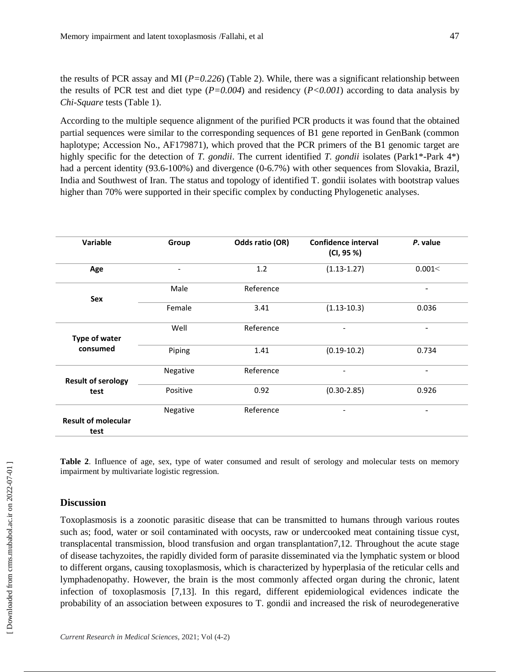the results of PCR assay and MI (*P=0.226*) (Table 2). While, there was a significant relationship between the results of PCR test and diet type (*P=0.004*) and residency (*P<0.001*) according to data analysis by *Chi-Square* tests (Table 1).

According to the multiple sequence alignment of the purified PCR products it was found that the obtained partial sequences were similar to the corresponding sequences of B1 gene reported in GenBank (common haplotype; Accession No., AF179871), which proved that the PCR primers of the B1 genomic target are highly specific for the detection of *T. gondii*. The current identified *T. gondii* isolates (Park1<sup>\*</sup>-Park 4<sup>\*</sup>) had a percent identity (93.6-100%) and divergence (0-6.7%) with other sequences from Slovakia, Brazil, India and Southwest of Iran. The status and topology of identified T. gondii isolates with bootstrap values higher than 70% were supported in their specific complex by conducting Phylogenetic analyses.

| Variable                           | Group                    | Odds ratio (OR) | <b>Confidence interval</b><br>(CI, 95 %) | P. value                 |
|------------------------------------|--------------------------|-----------------|------------------------------------------|--------------------------|
| Age                                | $\overline{\phantom{a}}$ | 1.2             | $(1.13 - 1.27)$                          | 0.001<                   |
| Sex                                | Male                     | Reference       |                                          | -                        |
|                                    | Female                   | 3.41            | $(1.13 - 10.3)$                          | 0.036                    |
| Type of water                      | Well                     | Reference       |                                          | -                        |
| consumed                           | Piping                   | 1.41            | $(0.19-10.2)$                            | 0.734                    |
| <b>Result of serology</b>          | Negative                 | Reference       | $\overline{\phantom{0}}$                 | $\overline{\phantom{a}}$ |
| test                               | Positive                 | 0.92            | $(0.30 - 2.85)$                          | 0.926                    |
| <b>Result of molecular</b><br>test | Negative                 | Reference       | $\overline{\phantom{a}}$                 | -                        |

**Table 2**. Influence of age, sex, type of water consumed and result of serology and molecular tests on memory impairment by multivariate logistic regression.

### **Discussion**

Toxoplasmosis is a zoonotic parasitic disease that can be transmitted to humans through various routes such as; food, water or soil contaminated with oocysts, raw or undercooked meat containing tissue cyst, transplacental transmission, blood transfusion and organ transplantation7,12. Throughout the acute stage of disease tachyzoites, the rapidly divided form of parasite disseminated via the lymphatic system or blood to different organs, causing toxoplasmosis, which is characterized by hyperplasia of the reticular cells and lymphadenopathy. However, the brain is the most commonly affected organ during the chronic, latent infection of toxoplasmosis [7,13]. In this regard, different epidemiological evidences indicate the probability of an association between exposures to T. gondii and increased the risk of neurodegenerative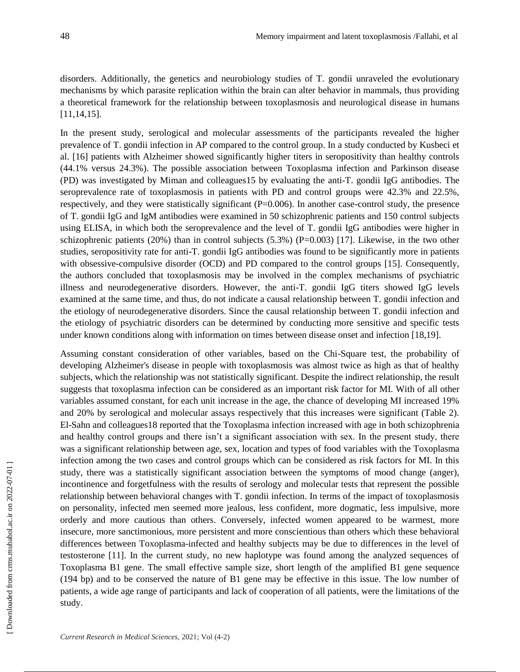disorders. Additionally, the genetics and neurobiology studies of T. gondii unraveled the evolutionary mechanisms by which parasite replication within the brain can alter behavior in mammals, thus providing a theoretical framework for the relationship between toxoplasmosis and neurological disease in humans [11,14,15].

In the present study, serological and molecular assessments of the participants revealed the higher prevalence of T. gondii infection in AP compared to the control group. In a study conducted by Kusbeci et al. [16] patients with Alzheimer showed significantly higher titers in seropositivity than healthy controls (44.1% versus 24.3%). The possible association between Toxoplasma infection and Parkinson disease (PD) was investigated by Miman and colleagues15 by evaluating the anti-T. gondii IgG antibodies. The seroprevalence rate of toxoplasmosis in patients with PD and control groups were 42.3% and 22.5%, respectively, and they were statistically significant (P=0.006). In another case-control study, the presence of T. gondii IgG and IgM antibodies were examined in 50 schizophrenic patients and 150 control subjects using ELISA, in which both the seroprevalence and the level of T. gondii IgG antibodies were higher in schizophrenic patients (20%) than in control subjects (5.3%) ( $P=0.003$ ) [17]. Likewise, in the two other studies, seropositivity rate for anti-T. gondii IgG antibodies was found to be significantly more in patients with obsessive-compulsive disorder (OCD) and PD compared to the control groups [15]. Consequently, the authors concluded that toxoplasmosis may be involved in the complex mechanisms of psychiatric illness and neurodegenerative disorders. However, the anti-T. gondii IgG titers showed IgG levels examined at the same time, and thus, do not indicate a causal relationship between T. gondii infection and the etiology of neurodegenerative disorders. Since the causal relationship between T. gondii infection and the etiology of psychiatric disorders can be determined by conducting more sensitive and specific tests under known conditions along with information on times between disease onset and infection [18,19].

Assuming constant consideration of other variables, based on the Chi-Square test, the probability of developing Alzheimer's disease in people with toxoplasmosis was almost twice as high as that of healthy subjects, which the relationship was not statistically significant. Despite the indirect relationship, the result suggests that toxoplasma infection can be considered as an important risk factor for MI. With of all other variables assumed constant, for each unit increase in the age, the chance of developing MI increased 19% and 20% by serological and molecular assays respectively that this increases were significant (Table 2). El-Sahn and colleagues18 reported that the Toxoplasma infection increased with age in both schizophrenia and healthy control groups and there isn't a significant association with sex. In the present study, there was a significant relationship between age, sex, location and types of food variables with the Toxoplasma infection among the two cases and control groups which can be considered as risk factors for MI. In this study, there was a statistically significant association between the symptoms of mood change (anger), incontinence and forgetfulness with the results of serology and molecular tests that represent the possible relationship between behavioral changes with T. gondii infection. In terms of the impact of toxoplasmosis on personality, infected men seemed more jealous, less confident, more dogmatic, less impulsive, more orderly and more cautious than others. Conversely, infected women appeared to be warmest, more insecure, more sanctimonious, more persistent and more conscientious than others which these behavioral differences between Toxoplasma-infected and healthy subjects may be due to differences in the level of testosterone [11]. In the current study, no new haplotype was found among the analyzed sequences of Toxoplasma B1 gene. The small effective sample size, short length of the amplified B1 gene sequence (194 bp) and to be conserved the nature of B1 gene may be effective in this issue. The low number of patients, a wide age range of participants and lack of cooperation of all patients, were the limitations of the study.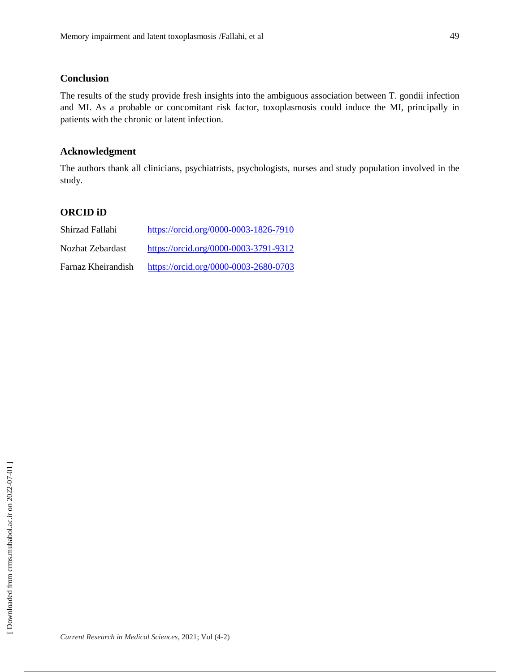# **Conclusion**

The results of the study provide fresh insights into the ambiguous association between T. gondii infection and MI. As a probable or concomitant risk factor, toxoplasmosis could induce the MI, principally in patients with the chronic or latent infection.

# **Acknowledgment**

The authors thank all clinicians, psychiatrists, psychologists, nurses and study population involved in the study.

# **ORCID iD**

| Shirzad Fallahi    | https://orcid.org/0000-0003-1826-7910 |
|--------------------|---------------------------------------|
| Nozhat Zebardast   | https://orcid.org/0000-0003-3791-9312 |
| Farnaz Kheirandish | https://orcid.org/0000-0003-2680-0703 |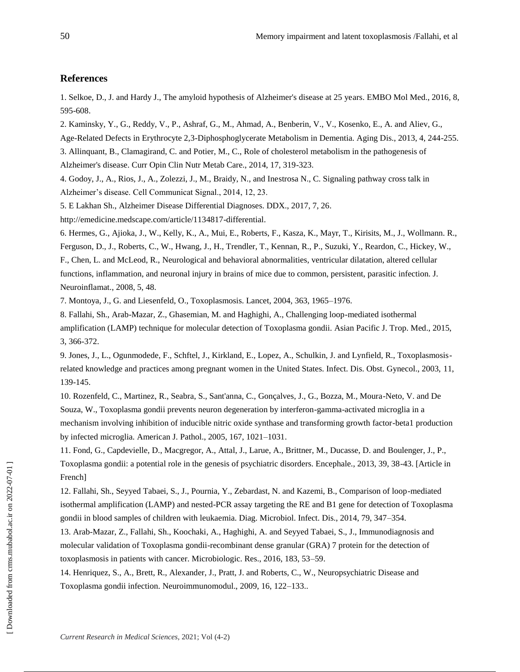#### **References**

1. Selkoe, D., J. and Hardy J., The amyloid hypothesis of Alzheimer's disease at 25 years. EMBO Mol Med., 2016, 8, 595-608.

2. Kaminsky, Y., G., Reddy, V., P., Ashraf, G., M., Ahmad, A., Benberin, V., V., Kosenko, E., A. and Aliev, G.,

Age-Related Defects in Erythrocyte 2,3-Diphosphoglycerate Metabolism in Dementia. Aging Dis., 2013, 4, 244-255.

3. Allinquant, B., Clamagirand, C. and Potier, M., C., Role of cholesterol metabolism in the pathogenesis of Alzheimer's disease. Curr Opin Clin Nutr Metab Care., 2014, 17, 319-323.

4. Godoy, J., A., Rios, J., A., Zolezzi, J., M., Braidy, N., and Inestrosa N., C. Signaling pathway cross talk in Alzheimer's disease. Cell Communicat Signal., 2014, 12, 23.

5. E Lakhan Sh., Alzheimer Disease Differential Diagnoses. DDX., 2017, 7, 26.

http://emedicine.medscape.com/article/1134817-differential.

6. Hermes, G., Ajioka, J., W., Kelly, K., A., Mui, E., Roberts, F., Kasza, K., Mayr, T., Kirisits, M., J., Wollmann. R., Ferguson, D., J., Roberts, C., W., Hwang, J., H., Trendler, T., Kennan, R., P., Suzuki, Y., Reardon, C., Hickey, W., F., Chen, L. and McLeod, R., Neurological and behavioral abnormalities, ventricular dilatation, altered cellular functions, inflammation, and neuronal injury in brains of mice due to common, persistent, parasitic infection. J. Neuroinflamat., 2008, 5, 48.

7. Montoya, J., G. and Liesenfeld, O., Toxoplasmosis. Lancet, 2004, 363, 1965–1976.

8. Fallahi, Sh., Arab-Mazar, Z., Ghasemian, M. and Haghighi, A., Challenging loop-mediated isothermal amplification (LAMP) technique for molecular detection of Toxoplasma gondii. Asian Pacific J. Trop. Med., 2015, 3, 366-372.

9. Jones, J., L., Ogunmodede, F., Schftel, J., Kirkland, E., Lopez, A., Schulkin, J. and Lynfield, R., Toxoplasmosisrelated knowledge and practices among pregnant women in the United States. Infect. Dis. Obst. Gynecol., 2003, 11, 139-145.

10. Rozenfeld, C., Martinez, R., Seabra, S., Sant'anna, C., Gonçalves, J., G., Bozza, M., Moura-Neto, V. and De Souza, W., Toxoplasma gondii prevents neuron degeneration by interferon-gamma-activated microglia in a mechanism involving inhibition of inducible nitric oxide synthase and transforming growth factor-beta1 production by infected microglia. American J. Pathol., 2005, 167, 1021–1031.

11. Fond, G., Capdevielle, D., Macgregor, A., Attal, J., Larue, A., Brittner, M., Ducasse, D. and Boulenger, J., P., Toxoplasma gondii: a potential role in the genesis of psychiatric disorders. Encephale., 2013, 39, 38-43. [Article in French]

12. Fallahi, Sh., Seyyed Tabaei, S., J., Pournia, Y., Zebardast, N. and Kazemi, B., Comparison of loop-mediated isothermal amplification (LAMP) and nested-PCR assay targeting the RE and B1 gene for detection of Toxoplasma gondii in blood samples of children with leukaemia. Diag. Microbiol. Infect. Dis., 2014, 79, 347–354.

13. Arab-Mazar, Z., Fallahi, Sh., Koochaki, A., Haghighi, A. and Seyyed Tabaei, S., J., Immunodiagnosis and molecular validation of Toxoplasma gondii-recombinant dense granular (GRA) 7 protein for the detection of toxoplasmosis in patients with cancer. Microbiologic. Res., 2016, 183, 53–59.

14. Henriquez, S., A., Brett, R., Alexander, J., Pratt, J. and Roberts, C., W., Neuropsychiatric Disease and Toxoplasma gondii infection. Neuroimmunomodul., 2009, 16, 122–133..